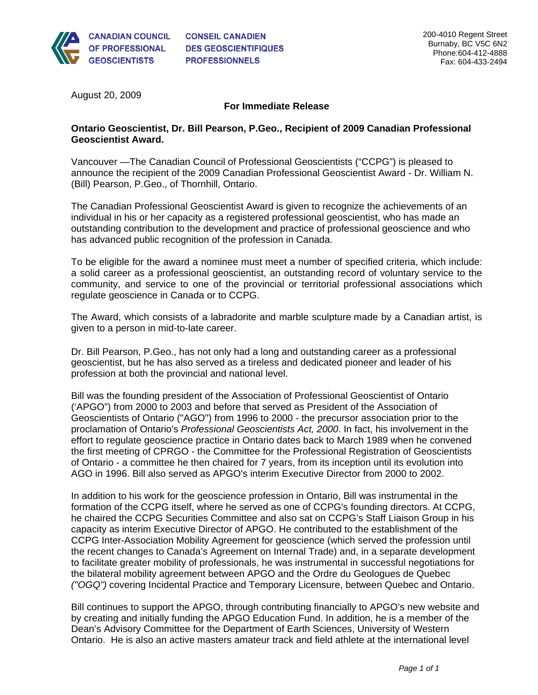

August 20, 2009

## **For Immediate Release**

## **Ontario Geoscientist, Dr. Bill Pearson, P.Geo., Recipient of 2009 Canadian Professional Geoscientist Award.**

Vancouver —The Canadian Council of Professional Geoscientists ("CCPG") is pleased to announce the recipient of the 2009 Canadian Professional Geoscientist Award - Dr. William N. (Bill) Pearson, P.Geo., of Thornhill, Ontario.

The Canadian Professional Geoscientist Award is given to recognize the achievements of an individual in his or her capacity as a registered professional geoscientist, who has made an outstanding contribution to the development and practice of professional geoscience and who has advanced public recognition of the profession in Canada.

To be eligible for the award a nominee must meet a number of specified criteria, which include: a solid career as a professional geoscientist, an outstanding record of voluntary service to the community, and service to one of the provincial or territorial professional associations which regulate geoscience in Canada or to CCPG.

The Award, which consists of a labradorite and marble sculpture made by a Canadian artist, is given to a person in mid-to-late career.

Dr. Bill Pearson, P.Geo., has not only had a long and outstanding career as a professional geoscientist, but he has also served as a tireless and dedicated pioneer and leader of his profession at both the provincial and national level.

Bill was the founding president of the Association of Professional Geoscientist of Ontario ('APGO") from 2000 to 2003 and before that served as President of the Association of Geoscientists of Ontario ("AGO") from 1996 to 2000 - the precursor association prior to the proclamation of Ontario's *Professional Geoscientists Act, 2000*. In fact, his involvement in the effort to regulate geoscience practice in Ontario dates back to March 1989 when he convened the first meeting of CPRGO - the Committee for the Professional Registration of Geoscientists of Ontario - a committee he then chaired for 7 years, from its inception until its evolution into AGO in 1996. Bill also served as APGO's interim Executive Director from 2000 to 2002.

In addition to his work for the geoscience profession in Ontario, Bill was instrumental in the formation of the CCPG itself, where he served as one of CCPG's founding directors. At CCPG, he chaired the CCPG Securities Committee and also sat on CCPG's Staff Liaison Group in his capacity as interim Executive Director of APGO. He contributed to the establishment of the CCPG Inter-Association Mobility Agreement for geoscience (which served the profession until the recent changes to Canada's Agreement on Internal Trade) and, in a separate development to facilitate greater mobility of professionals, he was instrumental in successful negotiations for the bilateral mobility agreement between APGO and the Ordre du Geologues de Quebec *("OGQ")* covering Incidental Practice and Temporary Licensure, between Quebec and Ontario.

Bill continues to support the APGO, through contributing financially to APGO's new website and by creating and initially funding the APGO Education Fund. In addition, he is a member of the Dean's Advisory Committee for the Department of Earth Sciences, University of Western Ontario. He is also an active masters amateur track and field athlete at the international level